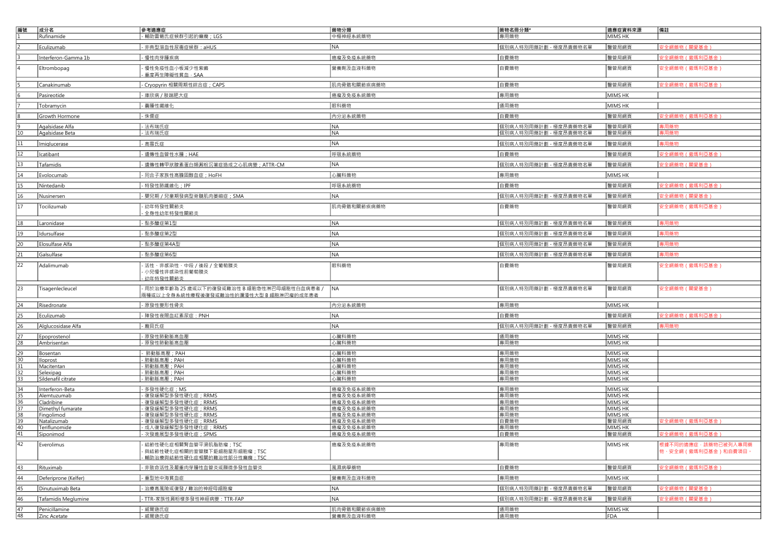| 編號       | 成分名<br>Rufinamide                | 参考適應症<br>·輔助雷葛氏症候群引起的癲癇;LGS                                                               | 藥物分類<br>中樞神經系統藥物       | 藥物名冊分類*<br>專用藥物       | 適應症資料來源<br>MIMS HK | 備註                                             |
|----------|----------------------------------|-------------------------------------------------------------------------------------------|------------------------|-----------------------|--------------------|------------------------------------------------|
|          | Eculizumab                       | - 非典型溶血性尿毒症候群: aHUS                                                                       | NA                     | 個別病人特別用藥計劃 - 極度昂貴藥物名單 | 醫管局網頁              | 安全網藥物 (關愛基金)                                   |
|          | Interferon-Gamma 1b              | -慢性肉芽腫疾病                                                                                  | 癌瘤及免疫系統藥物              | 白費藥物                  | 醫管局網頁              | 安全網藥物(撒瑪利亞基金                                   |
|          | Eltrombopag                      | ·慢性免疫性血小板減少性紫癜<br>重度再生障礙性貧血·SAA                                                           | 營養劑及血液科藥物              | 自費藥物                  | 醫管局網頁              | 安全網藥物(撒瑪利亞基金)                                  |
|          | Canakinumab                      | - Cryopyrin 相關周期性綜合症; CAPS                                                                | 肌肉骨骼和關節疾病藥物            | 自費藥物                  | 醫管局網頁              | 安全網藥物 ( 撒瑪利亞基金 )                               |
|          | Pasireotide                      | - 庫欣病 / 肢端肥大症                                                                             | 癌瘤及免疫系統藥物              | 專用藥物                  | MIMS HK            |                                                |
|          | Tobramycin                       | - 囊腫性纖維化                                                                                  | 眼科藥物                   | 通用藥物                  | MIMS HK            |                                                |
|          | Growth Hormone                   | - 侏儒症                                                                                     | 内分泌系統藥物                | 自費藥物                  | 醫管局網頁              | 安全網藥物(撒瑪利亞基金】                                  |
|          | Agalsidase Alfa                  | - 法布瑞氏症                                                                                   | NA                     | 個別病人特別用藥計劃 - 極度昂貴藥物名單 | 醫管局網頁              | 專用藥物                                           |
| 10       | Agalsidase Beta                  | 法布瑞氏症                                                                                     | <b>NA</b>              | 個別病人特別用藥計劃 - 極度昂貴藥物名單 | 醫管局網頁              | 專用藥物                                           |
| 11       | Imiglucerase                     | - 高雪氏症                                                                                    | NA                     | 個別病人特別用藥計劃 - 極度昂貴藥物名單 | 醫管局網頁              | 專用藥物                                           |
|          | Icatibant                        | - 遺傳性血管性水腫; HAE                                                                           | 呼吸系統藥物                 | 自費藥物                  | 醫管局網頁              | 安全網藥物(撒瑪利亞基金)                                  |
|          | Tafamidis                        | - 遺傳性轉甲狀腺素蛋白類澱粉沉著症造成之心肌病變; ATTR-CM                                                        | NA                     | 個別病人特別用藥計劃 - 極度昂貴藥物名單 | 醫管局網頁              | 安全網藥物 (關愛基金)                                   |
|          | Evolocumab                       | - 同合子家族性高膽固醇血症; HoFH                                                                      | 心臟科藥物                  | 專用藥物                  | MIMS HK            |                                                |
|          | Nintedanib                       | - 特發性肺纖維化; IPF                                                                            | 呼吸系統藥物                 | 白費藥物                  | 醫管局網頁              | 安全網藥物(撒瑪利亞基金                                   |
| 16       | Nusinersen                       | - 嬰兒期 / 兒童期發病型脊髓肌肉萎縮症; SMA                                                                | NA                     | 個別病人特別用藥計劃 - 極度昂貴藥物名單 | 醫管局網頁              | 安全網藥物(關愛基金)                                    |
| 17       | Tocilizumab                      | - 幼年特發性關節炎<br>全身性幼年特發性關節炎                                                                 | 肌肉骨骼和關節疾病藥物            | 自費藥物                  | 醫管局網頁              | 安全網藥物(撒瑪利亞基金)                                  |
|          | Laronidase                       | - 黏多醣症第1型                                                                                 | NA                     | 個別病人特別用藥計劃 - 極度昂貴藥物名單 | 醫管局網頁              | 專用藥物                                           |
| 19       | Idursulfase                      | - 黏多醣症第2型                                                                                 | NA                     | 個別病人特別用藥計劃 - 極度昂貴藥物名單 | 醫管局網頁              | 專用藥物                                           |
| 20       | Elosulfase Alfa                  | - 黏多醣症第4A型                                                                                | NA                     | 個別病人特別用藥計劃 - 極度昂貴藥物名單 | 醫管局網頁              | 專用藥物                                           |
| 21       | Galsulfase                       | 图 对多醣症第6型                                                                                 | NA                     | 個別病人特別用藥計劃 - 極度昂貴藥物名單 | 醫管局網頁              | 專用藥物                                           |
| 22       | Adalimumab                       | 活性、非感染性、中段 / 後段 / 全葡萄膜炎                                                                   | 眼科藥物                   | 自費藥物                  | 醫管局網頁              | 安全網藥物(撒瑪利亞基金)                                  |
|          |                                  | 小兒慢性非感染性前葡萄膜炎<br>幼年特發性關節炎                                                                 |                        |                       |                    |                                                |
| 23       | Tisagenlecleucel                 | ·用於治療年齡為 25 歲或以下的復發或難治性 B 細胞急性淋巴母細胞性白血病患者 / 【NA<br>兩種或以上全身系統性療程後復發或難治性的瀰漫性大型 B 細胞淋巴瘤的成年患者 |                        | 個別病人特別用藥計劃 - 極度昂貴藥物名單 | 醫管局網頁              | 安全網藥物(關愛基金)                                    |
|          | Risedronate                      | - 原發性變形性骨炎                                                                                | 内分泌系統藥物                | 專用藥物                  | MIMS HK            |                                                |
|          | Eculizumab                       | - 陣發性夜間血紅素尿症: PNH                                                                         | NA                     | 白費藥物                  | 醫管局網頁              | 安全網藥物(撒瑪利亞基金】                                  |
|          | Alglucosidase Alfa               | - 龐貝氏症                                                                                    | NA                     | 個別病人特別用藥計劃 - 極度昂貴藥物名單 | 醫管局網頁              | 專用藥物                                           |
|          | Epoprostenol                     | - 原發性肺動脈高血壓                                                                               | 心臟科藥物                  | 通用藥物                  | MIMS HK            |                                                |
| 28       | Ambrisentan                      | 原發性肺動脈高血壓                                                                                 | 心臟科藥物                  | 專用藥物                  | MIMS HK            |                                                |
| 29<br>30 | Bosentan                         | 肺動脈高壓; PAH                                                                                | 心臟科藥物                  | 專用藥物<br>專用藥物          | MIMS HK            |                                                |
|          | lloprost<br>Macitentan           | 肺動脈高壓; PAH<br>· 肺動脈高壓; PAH                                                                | 心臟科藥物<br>心臟科藥物         | 專用藥物                  | MIMS HK<br>MIMS HK |                                                |
| 33       | Selexipag                        | · 肺動脈高壓;PAH                                                                               | 心臟科藥物                  | 專用藥物                  | MIMS HK            |                                                |
|          | Sildenafil citrate               | · 肺動脈高壓; PAH                                                                              | 心臟科藥物                  | 專用藥物                  | MIMS HK            |                                                |
| 34<br>35 | Interferon-Beta<br>Alemtuzumab   | 多發性硬化症; MS<br>復發緩解型多發性硬化症; RRMS                                                           | 癌瘤及免疫系統藥物<br>癌瘤及免疫系統藥物 | 專用藥物<br>專用藥物          | MIMS HK<br>MIMS HK |                                                |
| 36       | Cladribine                       | 復發緩解型多發性硬化症; RRMS                                                                         | 癌瘤及免疫系統藥物              | 專用藥物                  | MIMS HK            |                                                |
| 37       | Dimethyl fumarate                | · 復發緩解型多發性硬化症 ; RRMS                                                                      | 癌瘤及免疫系統藥物              | 專用藥物                  | MIMS HK            |                                                |
| 38<br>39 | Fingolimod<br><b>Natalizumab</b> | 復發緩解型多發性硬化症; RRMS<br>復發緩解型多發性硬化症; RRMS                                                    | 癌瘤及免疫系統藥物<br>癌瘤及免疫系統藥物 | 專用藥物<br>自費藥物          | MIMS HK<br>醫管局網頁   | 安全網藥物(撒瑪利亞基金)                                  |
| 40       | Teriflunomide                    | 成人復發緩解型多發性硬化症; RRMS                                                                       | 癌瘤及免疫系統藥物              | 專用藥物                  | MIMS HK            |                                                |
| 41       | Siponimod                        | 安發進展型多發性硬化症: SPMS                                                                         | 癌瘤及免疫系統藥物              | 自費藥物                  | 醫管局網頁              | 安全網藥物(撒瑪利亞基金)                                  |
| 42       | Everolimus                       | 結節性硬化症相關腎皿管半滑肌脂肪瘤;TSC<br>· 與結節性硬化症相關的室管膜下鉅細胞星形細胞瘤; TSC<br>輔助治療與結節性硬化症相關的難治性部分性癲癇: TSC     | 癌瘤及免疫系統樂物              | 專用樂物                  | MIMS HK            | 根據不同的適應症‧該藥物已被列入專用藥<br>物、安全網 ( 撒瑪利亞基金 ) 和自費項目。 |
| 43       | Rituximab                        | - 非致命活性及嚴重肉芽腫性血管炎或顯微多發性血管炎                                                                | 風濕病學藥物                 | 白費藥物                  | 醫管局網頁              | 安全網藥物 (撒瑪利亞基金)                                 |
| 44       | Deferiprone (Kelfer)             | - 重型地中海貧血症                                                                                | 營養劑及血液科藥物              | 專用藥物                  | MIMS HK            |                                                |
| 45       | Dinutuximab Beta                 | - 治療高風險或復發 / 難治的神經母細胞瘤                                                                    | NA                     | 個別病人特別用藥計劃 - 極度昂貴藥物名單 | 醫管局網頁              | 安全網藥物 (關愛基金)                                   |
| 46       | Tafamidis Meglumine              | - TTR-家族性澱粉樣多發性神經病變: TTR-FAP                                                              | NA                     | 個別病人特別用藥計劃 - 極度昂貴藥物名單 | 醫管局網頁              | 安全網藥物 (關愛基金)                                   |
| 47       | Penicillamine                    | - 威爾遜氏症                                                                                   | 肌肉骨骼和關節疾病藥物            | 通用藥物                  | MIMS HK            |                                                |
| 48       | Zinc Acetate                     | - 威爾遜氏症                                                                                   | 營養劑及血液科藥物              | 通用藥物                  | FDA                |                                                |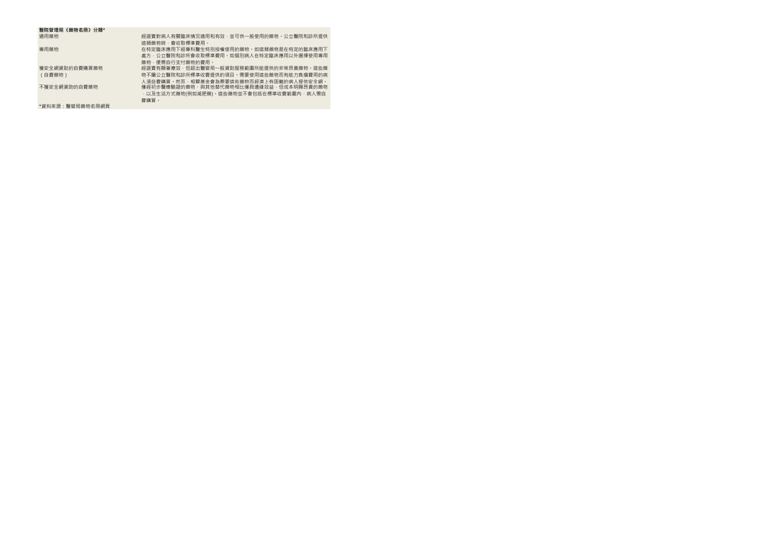| 醫院管理局《藥物名冊》分類*  |                                             |
|-----------------|---------------------------------------------|
| 通用藥物            | 經證實對病人有關臨床情況適用和有效,並可供一般使用的藥物。公立醫院和診所提供      |
|                 | 狺類藥物時,會收取標進費用。                              |
| 專用藥物            | 在特定臨床應用下經專科醫生特別授權使用的藥物。如狺類藥物是在特定的臨床應用下      |
|                 | 處方・公立醫院和診所會收取標準費用。如個別病人在特定臨床應用以外選擇使用專用      |
|                 | 蔘物 , 便需白行支付藥物的費用。                           |
| 獲安全網資助的自費購買藥物   | 經證實有顯著瘠效,但超出醫管局一般資助服務範圍所能提供的非常昂貴藥物。狺些藥      |
| (自費藥物)          | 物不屬公立醫院和診所標準收費提供的項目。需要使用這些藥物而有能力負擔費用的病      |
|                 | 人須白書購買。然而,相關基金會為需要這些藥物而經濟上有困難的病人提供安全網。      |
| 不獲安全網資助的自費藥物    | 僅經初步醫療驗證的藥物、與其他替代藥物相比僅具邊緣效益,但成本明顯昂貴的藥物      |
|                 | ·以及生活方式藥物(例如減肥藥) · 這些藥物並不會包括在標準收費範圍內 · 病人需自 |
|                 | 費購置。                                        |
| *資料來源:醫管局藥物名冊網頁 |                                             |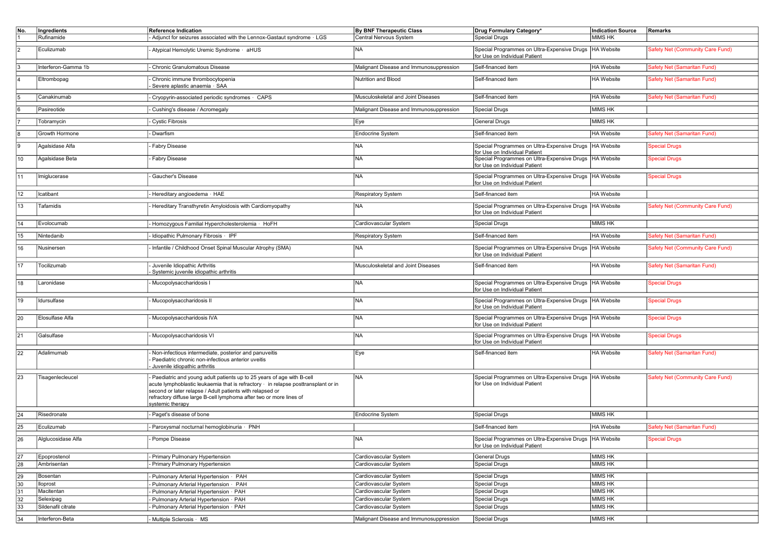| No.                   | Ingredients                     | <b>Reference Indication</b>                                                                                                                                                                                                                                                                                         | By BNF Therapeutic Class                       | Drug Formulary Category*                                                                                                   | <b>Indication Source</b>  | Remarks                          |
|-----------------------|---------------------------------|---------------------------------------------------------------------------------------------------------------------------------------------------------------------------------------------------------------------------------------------------------------------------------------------------------------------|------------------------------------------------|----------------------------------------------------------------------------------------------------------------------------|---------------------------|----------------------------------|
|                       | Rufinamide                      | - Adjunct for seizures associated with the Lennox-Gastaut syndrome · LGS                                                                                                                                                                                                                                            | Central Nervous System                         | Special Drugs                                                                                                              | <b>MIMS HK</b>            |                                  |
|                       | Eculizumab                      | Atypical Hemolytic Uremic Syndrome · aHUS                                                                                                                                                                                                                                                                           | <b>NA</b>                                      | Special Programmes on Ultra-Expensive Drugs  HA Website<br>for Use on Individual Patient                                   |                           | Safety Net (Community Care Fund) |
|                       |                                 |                                                                                                                                                                                                                                                                                                                     |                                                |                                                                                                                            |                           |                                  |
|                       | Interferon-Gamma 1b             | Chronic Granulomatous Disease                                                                                                                                                                                                                                                                                       | Malignant Disease and Immunosuppression        | Self-financed item                                                                                                         | HA Website                | Safety Net (Samaritan Fund)      |
|                       | Eltrombopag                     | Chronic immune thrombocytopenia<br>Severe aplastic anaemia · SAA                                                                                                                                                                                                                                                    | Nutrition and Blood                            | Self-financed item                                                                                                         | HA Website                | Safety Net (Samaritan Fund)      |
|                       | Canakinumab                     | Cryopyrin-associated periodic syndromes · CAPS                                                                                                                                                                                                                                                                      | Musculoskeletal and Joint Diseases             | Self-financed item                                                                                                         | HA Website                | Safety Net (Samaritan Fund)      |
|                       | Pasireotide                     | - Cushing's disease / Acromegaly                                                                                                                                                                                                                                                                                    | Malignant Disease and Immunosuppression        | Special Drugs                                                                                                              | MIMS HK                   |                                  |
|                       | Tobramycin                      | - Cystic Fibrosis                                                                                                                                                                                                                                                                                                   | Eye                                            | General Drugs                                                                                                              | MIMS HK                   |                                  |
|                       | Growth Hormone                  | - Dwarfism                                                                                                                                                                                                                                                                                                          | <b>Endocrine System</b>                        | Self-financed item                                                                                                         | HA Website                | Safety Net (Samaritan Fund)      |
| l9                    | Agalsidase Alfa                 | - Fabry Disease                                                                                                                                                                                                                                                                                                     | <b>NA</b>                                      | Special Programmes on Ultra-Expensive Drugs   HA Website                                                                   |                           | <b>Special Drugs</b>             |
| 10                    | Agalsidase Beta                 | Fabry Disease                                                                                                                                                                                                                                                                                                       | <b>NA</b>                                      | for Use on Individual Patient<br>Special Programmes on Ultra-Expensive Drugs   HA Website<br>for Use on Individual Patient |                           | <b>Special Drugs</b>             |
| 11                    | Imiglucerase                    | Gaucher's Disease                                                                                                                                                                                                                                                                                                   | <b>NA</b>                                      | Special Programmes on Ultra-Expensive Drugs  HA Website                                                                    |                           | <b>Special Drugs</b>             |
|                       |                                 |                                                                                                                                                                                                                                                                                                                     |                                                | for Use on Individual Patient                                                                                              |                           |                                  |
| 12                    | Icatibant                       | Hereditary angioedema · HAE                                                                                                                                                                                                                                                                                         | Respiratory System                             | Self-financed item                                                                                                         | HA Website                |                                  |
| 13                    | Tafamidis                       | Hereditary Transthyretin Amyloidosis with Cardiomyopathy                                                                                                                                                                                                                                                            | <b>NA</b>                                      | Special Programmes on Ultra-Expensive Drugs   HA Website<br>for Use on Individual Patient                                  |                           | Safety Net (Community Care Fund) |
| 14                    | Evolocumab                      | Homozygous Familial Hypercholesterolemia · HoFH                                                                                                                                                                                                                                                                     | Cardiovascular System                          | Special Drugs                                                                                                              | MIMS HK                   |                                  |
| 15                    | Nintedanib                      | - Idiopathic Pulmonary Fibrosis · IPF                                                                                                                                                                                                                                                                               | Respiratory System                             | Self-financed item                                                                                                         | HA Website                | Safety Net (Samaritan Fund)      |
| 16                    | Nusinersen                      | Infantile / Childhood Onset Spinal Muscular Atrophy (SMA)                                                                                                                                                                                                                                                           | <b>NA</b>                                      | Special Programmes on Ultra-Expensive Drugs   HA Website<br>for Use on Individual Patient                                  |                           | Safety Net (Community Care Fund) |
| 17                    | Tocilizumab                     | Juvenile Idiopathic Arthritis<br>Systemic juvenile idiopathic arthritis                                                                                                                                                                                                                                             | Musculoskeletal and Joint Diseases             | Self-financed item                                                                                                         | <b>HA</b> Website         | Safety Net (Samaritan Fund)      |
| 18                    | Laronidase                      | Mucopolysaccharidosis I                                                                                                                                                                                                                                                                                             | <b>NA</b>                                      | Special Programmes on Ultra-Expensive Drugs   HA Website<br>for Use on Individual Patient                                  |                           | <b>Special Drugs</b>             |
| 19                    | Idursulfase                     | Mucopolysaccharidosis II                                                                                                                                                                                                                                                                                            | <b>NA</b>                                      | Special Programmes on Ultra-Expensive Drugs  HA Website<br>for Use on Individual Patient                                   |                           | <b>Special Drugs</b>             |
| 20                    | Elosulfase Alfa                 | Mucopolysaccharidosis IVA                                                                                                                                                                                                                                                                                           | <b>NA</b>                                      | Special Programmes on Ultra-Expensive Drugs   HA Website<br>for Use on Individual Patient                                  |                           | <b>Special Drugs</b>             |
| 21                    | Galsulfase                      | Mucopolysaccharidosis VI                                                                                                                                                                                                                                                                                            | N <sub>A</sub>                                 | Special Programmes on Ultra-Expensive Drugs   HA Website<br>for Use on Individual Patient                                  |                           | <b>Special Drugs</b>             |
| 22                    | Adalimumab                      | Non-infectious intermediate, posterior and panuveitis<br>Paediatric chronic non-infectious anterior uveitis<br>Juvenile idiopathic arthritis                                                                                                                                                                        | Eye                                            | Self-financed item                                                                                                         | <b>HA</b> Website         | Safety Net (Samaritan Fund)      |
| 23                    | Tisagenlecleucel                | Paediatric and young adult patients up to 25 years of age with B-cell<br>acute lymphoblastic leukaemia that is refractory · in relapse posttransplant or in<br>second or later relapse / Adult patients with relapsed or<br>refractory diffuse large B-cell lymphoma after two or more lines of<br>systemic therapy | <b>NA</b>                                      | Special Programmes on Ultra-Expensive Drugs   HA Website<br>for Use on Individual Patient                                  |                           | Safety Net (Community Care Fund) |
| 24                    | Risedronate                     | - Paget's disease of bone                                                                                                                                                                                                                                                                                           | Endocrine System                               | Special Drugs                                                                                                              | MIMS HK                   |                                  |
| 25                    | Eculizumab                      | Paroxysmal nocturnal hemoglobinuria · PNH                                                                                                                                                                                                                                                                           |                                                | Self-financed item                                                                                                         | HA Website                | Safety Net (Samaritan Fund)      |
| 26                    | Alglucosidase Alfa              | Pompe Disease                                                                                                                                                                                                                                                                                                       | <b>NA</b>                                      | Special Programmes on Ultra-Expensive Drugs   HA Website                                                                   |                           | <b>Special Drugs</b>             |
|                       |                                 |                                                                                                                                                                                                                                                                                                                     |                                                | for Use on Individual Patient                                                                                              |                           |                                  |
| 27                    | Epoprostenol                    | - Primary Pulmonary Hypertension                                                                                                                                                                                                                                                                                    | Cardiovascular System                          | General Drugs                                                                                                              | MIMS HK                   |                                  |
| 28                    | Ambrisentan                     | - Primary Pulmonary Hypertension                                                                                                                                                                                                                                                                                    | Cardiovascular System                          | <b>Special Drugs</b>                                                                                                       | MIMS <sub>HK</sub>        |                                  |
|                       |                                 |                                                                                                                                                                                                                                                                                                                     |                                                |                                                                                                                            | MIMS <sub>HK</sub>        |                                  |
| 29                    | Bosentan                        | Pulmonary Arterial Hypertension · PAH                                                                                                                                                                                                                                                                               | Cardiovascular System                          | Special Drugs                                                                                                              |                           |                                  |
| 30                    | lloprost                        | Pulmonary Arterial Hypertension · PAH                                                                                                                                                                                                                                                                               | Cardiovascular System                          | Special Drugs                                                                                                              | MIMS HK                   |                                  |
| 31                    | Macitentan                      | Pulmonary Arterial Hypertension · PAH                                                                                                                                                                                                                                                                               | Cardiovascular System                          | Special Drugs                                                                                                              | MIMS HK                   |                                  |
| 32<br>$\overline{33}$ | Selexipag<br>Sildenafil citrate | Pulmonary Arterial Hypertension · PAH                                                                                                                                                                                                                                                                               | Cardiovascular System<br>Cardiovascular System | <b>Special Drugs</b>                                                                                                       | <b>MIMS HK</b><br>MIMS HK |                                  |
|                       |                                 | Pulmonary Arterial Hypertension · PAH                                                                                                                                                                                                                                                                               |                                                | <b>Special Drugs</b>                                                                                                       |                           |                                  |
| 34                    | Interferon-Beta                 | Multiple Sclerosis · MS                                                                                                                                                                                                                                                                                             | Malignant Disease and Immunosuppression        | Special Drugs                                                                                                              | MIMS <sub>HK</sub>        |                                  |